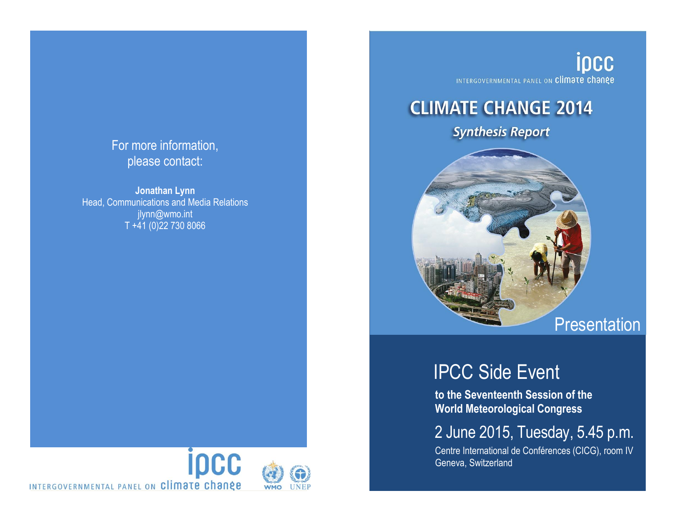## For more information, please contact:

**Jonathan Lynn** Head, Communications and Media Relations jlynn@wmo.int T +41 (0)22 730 8066



ipcc INTERGOVERNMENTAL PANEL ON Climate change

# **CLIMATE CHANGE 2014**

**Synthesis Report** 



# IPCC Side Event

**to the Seventeenth Session of the World Meteorological Congress**

## 2 June 2015, Tuesday, 5.45 p.m.

Centre International de Conférences (CICG), room IV Geneva, Switzerland